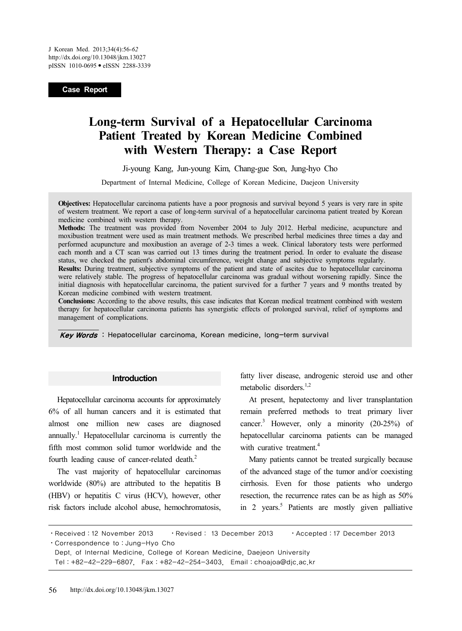**Case Report**

# **Long-term Survival of a Hepatocellular Carcinoma Patient Treated by Korean Medicine Combined with Western Therapy: a Case Report**

Ji-young Kang, Jun-young Kim, Chang-gue Son, Jung-hyo Cho

Department of Internal Medicine, College of Korean Medicine, Daejeon University

**Objectives:** Hepatocellular carcinoma patients have a poor prognosis and survival beyond 5 years is very rare in spite of western treatment. We report a case of long-term survival of a hepatocellular carcinoma patient treated by Korean medicine combined with western therapy.

**Methods:** The treatment was provided from November 2004 to July 2012. Herbal medicine, acupuncture and moxibustion treatment were used as main treatment methods. We prescribed herbal medicines three times a day and performed acupuncture and moxibustion an average of 2-3 times a week. Clinical laboratory tests were performed each month and a CT scan was carried out 13 times during the treatment period. In order to evaluate the disease status, we checked the patient's abdominal circumference, weight change and subjective symptoms regularly.

**Results:** During treatment, subjective symptoms of the patient and state of ascites due to hepatocellular carcinoma were relatively stable. The progress of hepatocellular carcinoma was gradual without worsening rapidly. Since the initial diagnosis with hepatocellular carcinoma, the patient survived for a further 7 years and 9 months treated by Korean medicine combined with western treatment.

**Conclusions:** According to the above results, this case indicates that Korean medical treatment combined with western therapy for hepatocellular carcinoma patients has synergistic effects of prolonged survival, relief of symptoms and management of complications.

Key Words : Hepatocellular carcinoma, Korean medicine, long-term survival

#### **Introduction**

Hepatocellular carcinoma accounts for approximately 6% of all human cancers and it is estimated that almost one million new cases are diagnosed annually.<sup>1</sup> Hepatocellular carcinoma is currently the fifth most common solid tumor worldwide and the fourth leading cause of cancer-related death.<sup>2</sup>

The vast majority of hepatocellular carcinomas worldwide (80%) are attributed to the hepatitis B (HBV) or hepatitis C virus (HCV), however, other risk factors include alcohol abuse, hemochromatosis,

fatty liver disease, androgenic steroid use and other metabolic disorders $1,2$ 

At present, hepatectomy and liver transplantation remain preferred methods to treat primary liver cancer.<sup>3</sup> However, only a minority (20-25%) of hepatocellular carcinoma patients can be managed with curative treatment.<sup>4</sup>

Many patients cannot be treated surgically because of the advanced stage of the tumor and/or coexisting cirrhosis. Even for those patients who undergo resection, the recurrence rates can be as high as 50% in 2 years.<sup>5</sup> Patients are mostly given palliative

⋅Received:12 November 2013 ⋅Revised: 13 December 2013 ⋅Accepted:17 December 2013

⋅Correspondence to:Jung-Hyo Cho

Dept. of Internal Medicine, College of Korean Medicine, Daejeon University Tel:+82-42-229-6807, Fax:+82-42-254-3403, Email:choajoa@djc.ac.kr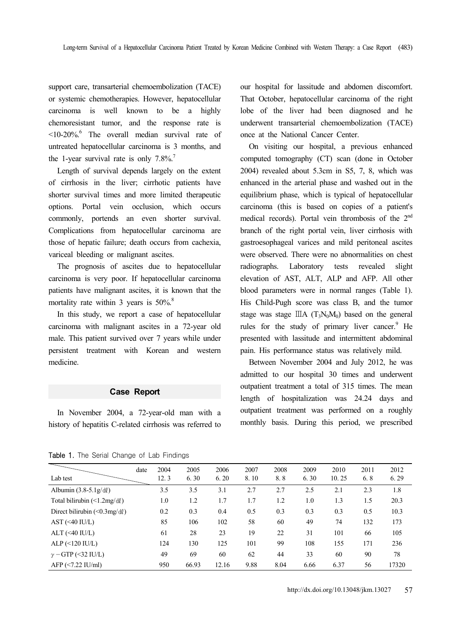support care, transarterial chemoembolization (TACE) or systemic chemotherapies. However, hepatocellular carcinoma is well known to be a highly chemoresistant tumor, and the response rate is <10-20%.6 The overall median survival rate of untreated hepatocellular carcinoma is 3 months, and the 1-year survival rate is only  $7.8\%$ <sup>7</sup>

Length of survival depends largely on the extent of cirrhosis in the liver; cirrhotic patients have shorter survival times and more limited therapeutic options. Portal vein occlusion, which occurs commonly, portends an even shorter survival. Complications from hepatocellular carcinoma are those of hepatic failure; death occurs from cachexia, variceal bleeding or malignant ascites.

The prognosis of ascites due to hepatocellular carcinoma is very poor. If hepatocellular carcinoma patients have malignant ascites, it is known that the mortality rate within 3 years is  $50\%$ <sup>8</sup>

In this study, we report a case of hepatocellular carcinoma with malignant ascites in a 72-year old male. This patient survived over 7 years while under persistent treatment with Korean and western medicine.

## **Case Report**

In November 2004, a 72-year-old man with a history of hepatitis C-related cirrhosis was referred to our hospital for lassitude and abdomen discomfort. That October, hepatocellular carcinoma of the right lobe of the liver had been diagnosed and he underwent transarterial chemoembolization (TACE) once at the National Cancer Center.

On visiting our hospital, a previous enhanced computed tomography (CT) scan (done in October 2004) revealed about 5.3cm in S5, 7, 8, which was enhanced in the arterial phase and washed out in the equilibrium phase, which is typical of hepatocellular carcinoma (this is based on copies of a patient's medical records). Portal vein thrombosis of the 2<sup>nd</sup> branch of the right portal vein, liver cirrhosis with gastroesophageal varices and mild peritoneal ascites were observed. There were no abnormalities on chest radiographs. Laboratory tests revealed slight elevation of AST, ALT, ALP and AFP. All other blood parameters were in normal ranges (Table 1). His Child-Pugh score was class B, and the tumor stage was stage  $\rm IIIA$  (T<sub>3</sub>N<sub>0</sub>M<sub>0</sub>) based on the general rules for the study of primary liver cancer.<sup>9</sup> He presented with lassitude and intermittent abdominal pain. His performance status was relatively mild.

Between November 2004 and July 2012, he was admitted to our hospital 30 times and underwent outpatient treatment a total of 315 times. The mean length of hospitalization was 24.24 days and outpatient treatment was performed on a roughly monthly basis. During this period, we prescribed

Table 1. The Serial Change of Lab Findings

| Lab test                                          | date | 2004<br>12.3 | 2005<br>6.30 | 2006<br>6.20 | 2007<br>8.10 | 2008<br>8.8 | 2009<br>6.30 | 2010<br>10.25 | 2011<br>6.8 | 2012<br>6.29 |
|---------------------------------------------------|------|--------------|--------------|--------------|--------------|-------------|--------------|---------------|-------------|--------------|
|                                                   |      |              |              |              |              |             |              |               |             |              |
| Albumin $(3.8-5.1g/dl)$                           |      | 3.5          | 3.5          | 3.1          | 2.7          | 2.7         | 2.5          | 2.1           | 2.3         | 1.8          |
| Total bilirubin $(\leq 1.2 \text{mg}/d\ell)$      |      | 1.0          | 1.2          | 1.7          | 1.7          | 1.2         | 1.0          | 1.3           | 1.5         | 20.3         |
| Direct bilirubin $(\leq 0.3 \text{mg}/d\ell)$     |      | 0.2          | 0.3          | 0.4          | 0.5          | 0.3         | 0.3          | 0.3           | 0.5         | 10.3         |
| $AST (\leq 40$ $IU/L)$                            |      | 85           | 106          | 102          | 58           | 60          | 49           | 74            | 132         | 173          |
| $ALT$ (<40 IU/L)                                  |      | 61           | 28           | 23           | 19           | 22          | 31           | 101           | 66          | 105          |
| $ALP$ (<120 IU/L)                                 |      | 124          | 130          | 125          | 101          | 99          | 108          | 155           | 171         | 236          |
| $\gamma$ – GTP (<32 IU/L)                         |      | 49           | 69           | 60           | 62           | 44          | 33           | 60            | 90          | 78           |
| $AFP \left( \frac{5}{2.22} \text{ IU/ml} \right)$ |      | 950          | 66.93        | 12.16        | 9.88         | 8.04        | 6.66         | 6.37          | 56          | 17320        |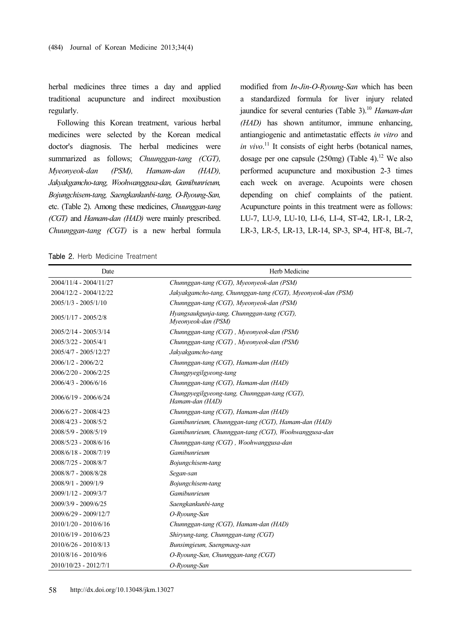herbal medicines three times a day and applied traditional acupuncture and indirect moxibustion regularly.

Following this Korean treatment, various herbal medicines were selected by the Korean medical doctor's diagnosis. The herbal medicines were summarized as follows; *Chuunggan-tang (CGT), Myeonyeok-dan (PSM), Hamam-dan (HAD), Jakyakgamcho-tang, Woohwanggusa-dan, Gamibunrieum, Bojungchisem-tang, Saengkankunbi-tang, O-Ryoung-San,*  etc. (Table 2). Among these medicines, *Chuunggan-tang (CGT)* and *Hamam-dan (HAD)* were mainly prescribed. *Chuunggan-tang (CGT)* is a new herbal formula modified from *In-Jin-O-Ryoung-San* which has been a standardized formula for liver injury related jaundice for several centuries (Table 3).<sup>10</sup> Hamam-dan *(HAD)* has shown antitumor, immune enhancing, antiangiogenic and antimetastatic effects *in vitro* and *in vivo*. 11 It consists of eight herbs (botanical names, dosage per one capsule  $(250mg)$  (Table 4).<sup>12</sup> We also performed acupuncture and moxibustion 2-3 times each week on average. Acupoints were chosen depending on chief complaints of the patient. Acupuncture points in this treatment were as follows: LU-7, LU-9, LU-10, LI-6, LI-4, ST-42, LR-1, LR-2, LR-3, LR-5, LR-13, LR-14, SP-3, SP-4, HT-8, BL-7,

Table 2. Herb Medicine Treatment

| Date                   | Herb Medicine                                                     |
|------------------------|-------------------------------------------------------------------|
| 2004/11/4 - 2004/11/27 | Chunnggan-tang (CGT), Myeonyeok-dan (PSM)                         |
| 2004/12/2 - 2004/12/22 | Jakyakgamcho-tang, Chunnggan-tang (CGT), Myeonyeok-dan (PSM)      |
| $2005/1/3 - 2005/1/10$ | Chunnggan-tang (CGT), Myeonyeok-dan (PSM)                         |
| 2005/1/17 - 2005/2/8   | Hyangsaukgunja-tang, Chunnggan-tang (CGT),<br>Myeonyeok-dan (PSM) |
| 2005/2/14 - 2005/3/14  | Chunnggan-tang (CGT), Myeonyeok-dan (PSM)                         |
| 2005/3/22 - 2005/4/1   | Chunnggan-tang (CGT), Myeonyeok-dan (PSM)                         |
| 2005/4/7 - 2005/12/27  | Jakyakgamcho-tang                                                 |
| $2006/1/2 - 2006/2/2$  | Chunnggan-tang (CGT), Hamam-dan (HAD)                             |
| 2006/2/20 - 2006/2/25  | Chungpyegilgyeong-tang                                            |
| $2006/4/3 - 2006/6/16$ | Chunnggan-tang (CGT), Hamam-dan (HAD)                             |
| 2006/6/19 - 2006/6/24  | Chungpyegilgyeong-tang, Chunnggan-tang (CGT),<br>Hamam-dan (HAD)  |
| 2006/6/27 - 2008/4/23  | Chunnggan-tang (CGT), Hamam-dan (HAD)                             |
| 2008/4/23 - 2008/5/2   | Gamibunrieum, Chunnggan-tang (CGT), Hamam-dan (HAD)               |
| 2008/5/9 - 2008/5/19   | Gamibunrieum, Chunnggan-tang (CGT), Woohwanggusa-dan              |
| 2008/5/23 - 2008/6/16  | Chunnggan-tang (CGT), Woohwanggusa-dan                            |
| 2008/6/18 - 2008/7/19  | Gamibunrieum                                                      |
| 2008/7/25 - 2008/8/7   | Bojungchisem-tang                                                 |
| 2008/8/7 - 2008/8/28   | Segan-san                                                         |
| 2008/9/1 - 2009/1/9    | Bojungchisem-tang                                                 |
| 2009/1/12 - 2009/3/7   | Gamibunrieum                                                      |
| 2009/3/9 - 2009/6/25   | Saengkankunbi-tang                                                |
| 2009/6/29 - 2009/12/7  | O-Ryoung-San                                                      |
| 2010/1/20 - 2010/6/16  | Chunnggan-tang (CGT), Hamam-dan (HAD)                             |
| 2010/6/19 - 2010/6/23  | Shiryung-tang, Chunnggan-tang (CGT)                               |
| 2010/6/26 - 2010/8/13  | Bunsimgieum, Saengmaeg-san                                        |
| 2010/8/16 - 2010/9/6   | O-Ryoung-San, Chunnggan-tang (CGT)                                |
| 2010/10/23 - 2012/7/1  | O-Ryoung-San                                                      |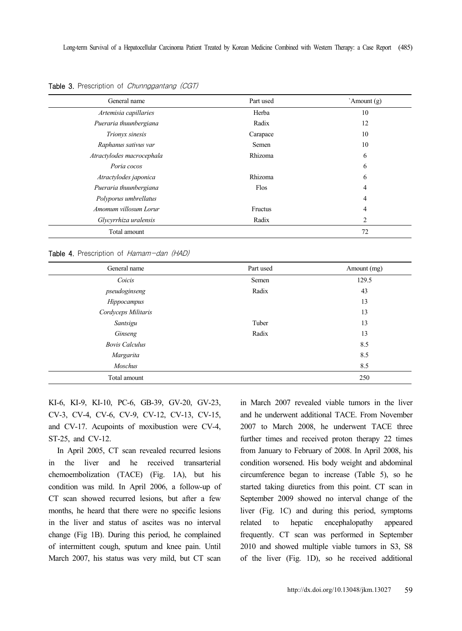| General name              | Part used | `Amount (g) |
|---------------------------|-----------|-------------|
| Artemisia capillaries     | Herba     | 10          |
| Pueraria thuunbergiana    | Radix     | 12          |
| Trionyx sinesis           | Carapace  | 10          |
| Raphanus sativus var      | Semen     | 10          |
| Atractylodes macrocephala | Rhizoma   | 6           |
| Poria cocos               |           | 6           |
| Atractylodes japonica     | Rhizoma   | 6           |
| Pueraria thuunbergiana    | Flos      | 4           |
| Polyporus umbrellatus     |           | 4           |
| Amomum villosum Lorur     | Fructus   | 4           |
| Glycyrrhiza uralensis     | Radix     | 2           |
| Total amount              |           | 72          |

Table 3. Prescription of *Chunnggantang (CGT)* 

Table 4. Prescription of Hamam-dan (HAD)

| General name          | Part used | Amount (mg) |  |  |
|-----------------------|-----------|-------------|--|--|
| Coicis                | Semen     | 129.5       |  |  |
| pseudoginseng         | Radix     | 43          |  |  |
| Hippocampus           |           | 13          |  |  |
| Cordyceps Militaris   |           | 13          |  |  |
| Santsigu              | Tuber     | 13          |  |  |
| Ginseng               | Radix     | 13          |  |  |
| <b>Bovis Calculus</b> |           | 8.5         |  |  |
| Margarita             |           | 8.5         |  |  |
| <b>Moschus</b>        |           | 8.5         |  |  |
| Total amount          |           | 250         |  |  |

KI-6, KI-9, KI-10, PC-6, GB-39, GV-20, GV-23, CV-3, CV-4, CV-6, CV-9, CV-12, CV-13, CV-15, and CV-17. Acupoints of moxibustion were CV-4, ST-25, and CV-12.

In April 2005, CT scan revealed recurred lesions in the liver and he received transarterial chemoembolization (TACE) (Fig. 1A), but his condition was mild. In April 2006, a follow-up of CT scan showed recurred lesions, but after a few months, he heard that there were no specific lesions in the liver and status of ascites was no interval change (Fig 1B). During this period, he complained of intermittent cough, sputum and knee pain. Until March 2007, his status was very mild, but CT scan in March 2007 revealed viable tumors in the liver and he underwent additional TACE. From November 2007 to March 2008, he underwent TACE three further times and received proton therapy 22 times from January to February of 2008. In April 2008, his condition worsened. His body weight and abdominal circumference began to increase (Table 5), so he started taking diuretics from this point. CT scan in September 2009 showed no interval change of the liver (Fig. 1C) and during this period, symptoms related to hepatic encephalopathy appeared frequently. CT scan was performed in September 2010 and showed multiple viable tumors in S3, S8 of the liver (Fig. 1D), so he received additional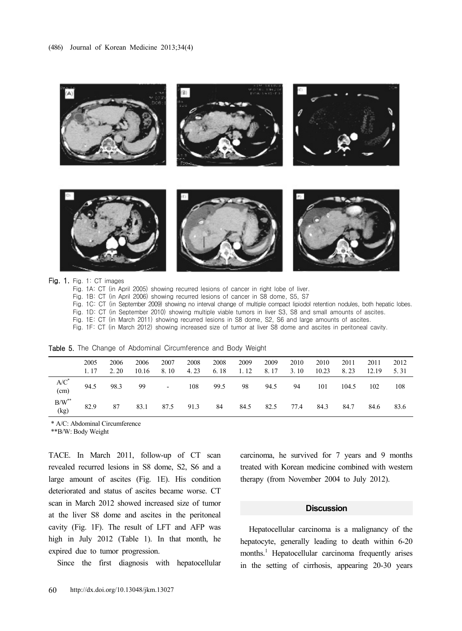

Fig. 1A: CT (in April 2005) showing recurred lesions of cancer in right lobe of liver.

Fig. 1B: CT (in April 2006) showing recurred lesions of cancer in S8 dome, S5, S7

Fig. 1C: CT (in September 2009) showing no interval change of multiple compact lipiodol retention nodules, both hepatic lobes.

Fig. 1D: CT (in September 2010) showing multiple viable tumors in liver S3, S8 and small amounts of ascites.

Fig. 1E: CT (in March 2011) showing recurred lesions in S8 dome, S2, S6 and large amounts of ascites.

Fig. 1F: CT (in March 2012) showing increased size of tumor at liver S8 dome and ascites in peritoneal cavity.

Table 5. The Change of Abdominal Circumference and Body Weight

|                          | 2005<br>1. 17 | 2006<br>2.20 | 2006<br>10.16 | 2007<br>8.10                 | 2008<br>4.23 | 2008<br>6.18 | 2009<br>1.12 | 2009<br>8.17 | 2010<br>3.10 | 2010<br>10.23 | 2011<br>8.23 | 2011<br>12.19 | 2012<br>5.31 |
|--------------------------|---------------|--------------|---------------|------------------------------|--------------|--------------|--------------|--------------|--------------|---------------|--------------|---------------|--------------|
| $A/C^*$<br>(cm)          | 94.5          | 98.3         | 99            | $\qquad \qquad \blacksquare$ | 108          | 99.5         | 98           | 94.5         | 94           | 101           | 104.5        | 102           | 108          |
| $B/W^{\ast\ast}$<br>(kg) | 82.9          | 87           | 83.1          | 87.5                         | 91.3         | 84           | 84.5         | 82.5         | 77.4         | 84.3          | 84.7         | 84.6          | 83.6         |

\* A/C: Abdominal Circumference

\*\*B/W: Body Weight

TACE. In March 2011, follow-up of CT scan revealed recurred lesions in S8 dome, S2, S6 and a large amount of ascites (Fig. 1E). His condition deteriorated and status of ascites became worse. CT scan in March 2012 showed increased size of tumor at the liver S8 dome and ascites in the peritoneal cavity (Fig. 1F). The result of LFT and AFP was high in July 2012 (Table 1). In that month, he expired due to tumor progression.

Since the first diagnosis with hepatocellular

carcinoma, he survived for 7 years and 9 months treated with Korean medicine combined with western therapy (from November 2004 to July 2012).

## **Discussion**

Hepatocellular carcinoma is a malignancy of the hepatocyte, generally leading to death within 6-20 months.<sup>1</sup> Hepatocellular carcinoma frequently arises in the setting of cirrhosis, appearing 20-30 years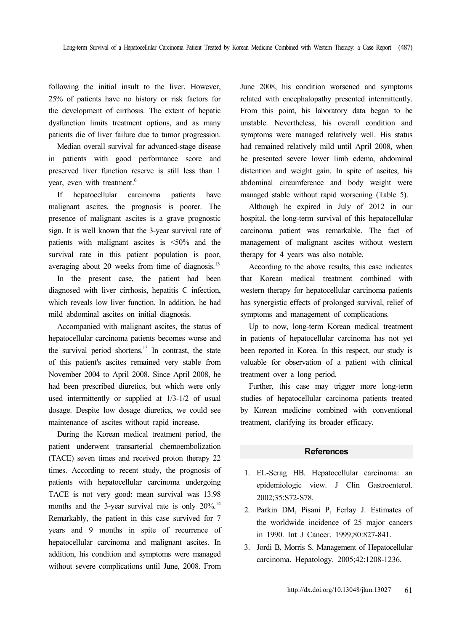following the initial insult to the liver. However, 25% of patients have no history or risk factors for the development of cirrhosis. The extent of hepatic dysfunction limits treatment options, and as many patients die of liver failure due to tumor progression.

Median overall survival for advanced-stage disease in patients with good performance score and preserved liver function reserve is still less than 1 year, even with treatment.<sup>6</sup>

If hepatocellular carcinoma patients have malignant ascites, the prognosis is poorer. The presence of malignant ascites is a grave prognostic sign. It is well known that the 3-year survival rate of patients with malignant ascites is <50% and the survival rate in this patient population is poor, averaging about 20 weeks from time of diagnosis. $^{13}$ 

In the present case, the patient had been diagnosed with liver cirrhosis, hepatitis C infection, which reveals low liver function. In addition, he had mild abdominal ascites on initial diagnosis.

Accompanied with malignant ascites, the status of hepatocellular carcinoma patients becomes worse and the survival period shortens. $13$  In contrast, the state of this patient's ascites remained very stable from November 2004 to April 2008. Since April 2008, he had been prescribed diuretics, but which were only used intermittently or supplied at 1/3-1/2 of usual dosage. Despite low dosage diuretics, we could see maintenance of ascites without rapid increase.

During the Korean medical treatment period, the patient underwent transarterial chemoembolization (TACE) seven times and received proton therapy 22 times. According to recent study, the prognosis of patients with hepatocellular carcinoma undergoing TACE is not very good: mean survival was 13.98 months and the 3-year survival rate is only  $20\%$ .<sup>14</sup> Remarkably, the patient in this case survived for 7 years and 9 months in spite of recurrence of hepatocellular carcinoma and malignant ascites. In addition, his condition and symptoms were managed without severe complications until June, 2008. From

June 2008, his condition worsened and symptoms related with encephalopathy presented intermittently. From this point, his laboratory data began to be unstable. Nevertheless, his overall condition and symptoms were managed relatively well. His status had remained relatively mild until April 2008, when he presented severe lower limb edema, abdominal distention and weight gain. In spite of ascites, his abdominal circumference and body weight were managed stable without rapid worsening (Table 5).

Although he expired in July of 2012 in our hospital, the long-term survival of this hepatocellular carcinoma patient was remarkable. The fact of management of malignant ascites without western therapy for 4 years was also notable.

According to the above results, this case indicates that Korean medical treatment combined with western therapy for hepatocellular carcinoma patients has synergistic effects of prolonged survival, relief of symptoms and management of complications.

Up to now, long-term Korean medical treatment in patients of hepatocellular carcinoma has not yet been reported in Korea. In this respect, our study is valuable for observation of a patient with clinical treatment over a long period.

Further, this case may trigger more long-term studies of hepatocellular carcinoma patients treated by Korean medicine combined with conventional treatment, clarifying its broader efficacy.

#### **References**

- 1. EL-Serag HB. Hepatocellular carcinoma: an epidemiologic view. J Clin Gastroenterol. 2002;35:S72-S78.
- 2. Parkin DM, Pisani P, Ferlay J. Estimates of the worldwide incidence of 25 major cancers in 1990. Int J Cancer. 1999;80:827-841.
- 3. Jordi B, Morris S. Management of Hepatocellular carcinoma. Hepatology. 2005;42:1208-1236.